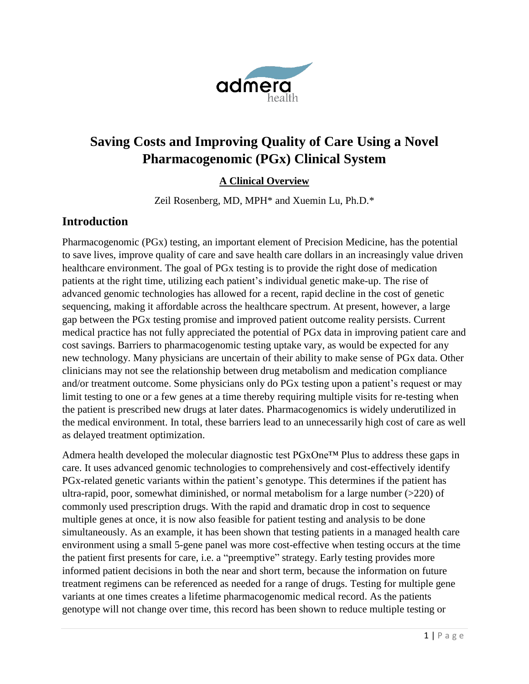

# **Saving Costs and Improving Quality of Care Using a Novel Pharmacogenomic (PGx) Clinical System**

#### **A Clinical Overview**

Zeil Rosenberg, MD, MPH\* and Xuemin Lu, Ph.D.\*

### **Introduction**

Pharmacogenomic (PGx) testing, an important element of Precision Medicine, has the potential to save lives, improve quality of care and save health care dollars in an increasingly value driven healthcare environment. The goal of PGx testing is to provide the right dose of medication patients at the right time, utilizing each patient's individual genetic make-up. The rise of advanced genomic technologies has allowed for a recent, rapid decline in the cost of genetic sequencing, making it affordable across the healthcare spectrum. At present, however, a large gap between the PGx testing promise and improved patient outcome reality persists. Current medical practice has not fully appreciated the potential of PGx data in improving patient care and cost savings. Barriers to pharmacogenomic testing uptake vary, as would be expected for any new technology. Many physicians are uncertain of their ability to make sense of PGx data. Other clinicians may not see the relationship between drug metabolism and medication compliance and/or treatment outcome. Some physicians only do PGx testing upon a patient's request or may limit testing to one or a few genes at a time thereby requiring multiple visits for re-testing when the patient is prescribed new drugs at later dates. Pharmacogenomics is widely underutilized in the medical environment. In total, these barriers lead to an unnecessarily high cost of care as well as delayed treatment optimization.

Admera health developed the molecular diagnostic test PGxOne™ Plus to address these gaps in care. It uses advanced genomic technologies to comprehensively and cost-effectively identify PGx-related genetic variants within the patient's genotype. This determines if the patient has ultra-rapid, poor, somewhat diminished, or normal metabolism for a large number  $(>=220)$  of commonly used prescription drugs. With the rapid and dramatic drop in cost to sequence multiple genes at once, it is now also feasible for patient testing and analysis to be done simultaneously. As an example, it has been shown that testing patients in a managed health care environment using a small 5-gene panel was more cost-effective when testing occurs at the time the patient first presents for care, i.e. a "preemptive" strategy. Early testing provides more informed patient decisions in both the near and short term, because the information on future treatment regimens can be referenced as needed for a range of drugs. Testing for multiple gene variants at one times creates a lifetime pharmacogenomic medical record. As the patients genotype will not change over time, this record has been shown to reduce multiple testing or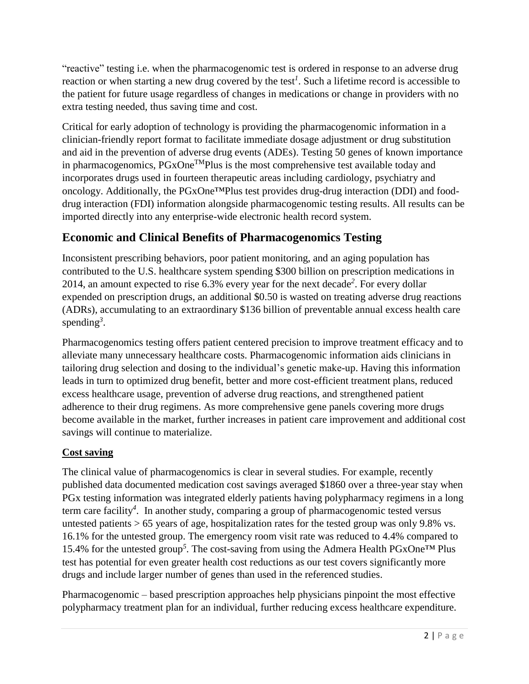"reactive" testing i.e. when the pharmacogenomic test is ordered in response to an adverse drug reaction or when starting a new drug covered by the test*[1](#page-7-0)* . Such a lifetime record is accessible to the patient for future usage regardless of changes in medications or change in providers with no extra testing needed, thus saving time and cost.

Critical for early adoption of technology is providing the pharmacogenomic information in a clinician-friendly report format to facilitate immediate dosage adjustment or drug substitution and aid in the prevention of adverse drug events (ADEs). Testing 50 genes of known importance in pharmacogenomics, PGxOne<sup>TM</sup>Plus is the most comprehensive test available today and incorporates drugs used in fourteen therapeutic areas including cardiology, psychiatry and oncology. Additionally, the PGxOne™Plus test provides drug-drug interaction (DDI) and fooddrug interaction (FDI) information alongside pharmacogenomic testing results. All results can be imported directly into any enterprise-wide electronic health record system.

# **Economic and Clinical Benefits of Pharmacogenomics Testing**

Inconsistent prescribing behaviors, poor patient monitoring, and an aging population has contributed to the U.S. healthcare system spending \$300 billion on prescription medications in 2014, an amount expected to rise 6.3% every year for the next decad[e](#page-7-1)*<sup>2</sup>* . For every dollar expended on prescription drugs, an additional \$0.50 is wasted on treating adverse drug reactions (ADRs), accumulating to an extraordinary \$136 billion of preventable annual excess health care spending*<sup>3</sup>* [.](#page-7-2)

Pharmacogenomics testing offers patient centered precision to improve treatment efficacy and to alleviate many unnecessary healthcare costs. Pharmacogenomic information aids clinicians in tailoring drug selection and dosing to the individual's genetic make-up. Having this information leads in turn to optimized drug benefit, better and more cost-efficient treatment plans, reduced excess healthcare usage, prevention of adverse drug reactions, and strengthened patient adherence to their drug regimens. As more comprehensive gene panels covering more drugs become available in the market, further increases in patient care improvement and additional cost savings will continue to materialize.

#### **Cost saving**

The clinical value of pharmacogenomics is clear in several studies. For example, recently published data documented medication cost savings averaged \$1860 over a three-year stay when PGx testing information was integrated elderly patients having polypharmacy regimens in a long term care facility*[4](#page-7-3)* . In another study, comparing a group of pharmacogenomic tested versus untested patients  $> 65$  years of age, hospitalization rates for the tested group was only 9.8% vs. 16.1% for the untested group. The emergency room visit rate was reduced to 4.4% compared to 15.4% for the untested grou[p](#page-7-4)*<sup>5</sup>* . The cost-saving from using the Admera Health PGxOne™ Plus test has potential for even greater health cost reductions as our test covers significantly more drugs and include larger number of genes than used in the referenced studies.

Pharmacogenomic – based prescription approaches help physicians pinpoint the most effective polypharmacy treatment plan for an individual, further reducing excess healthcare expenditure.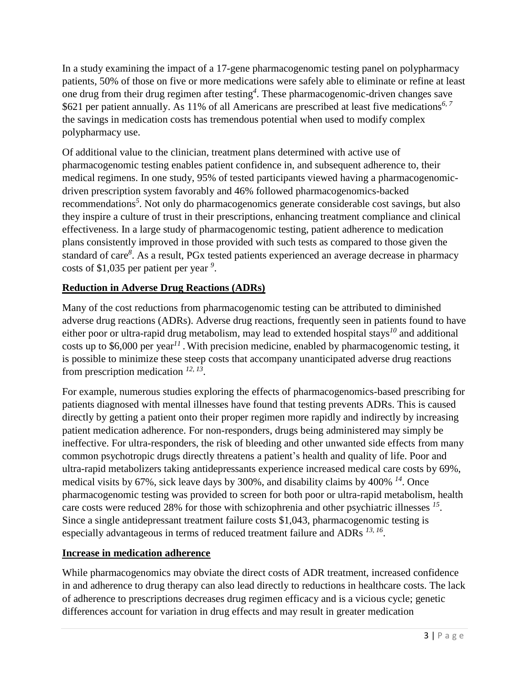In a study examining the impact of a 17-gene pharmacogenomic testing panel on polypharmacy patients, 50% of those on five or more medications were safely able to eliminate or refine at least one drug from their drug regimen after testing*[4](#page-7-3)* . These pharmacogenomic-driven changes save \$621 per patient annually. As 11% of all Americans are prescribed at least five medications*[6,](#page-7-5) [7](#page-7-6)* the savings in medication costs has tremendous potential when used to modify complex polypharmacy use.

Of additional value to the clinician, treatment plans determined with active use of pharmacogenomic testing enables patient confidence in, and subsequent adherence to, their medical regimens. In one study, 95% of tested participants viewed having a pharmacogenomicdriven prescription system favorably and 46% followed pharmacogenomics-backed recommendations*<sup>5</sup>* [.](#page-7-4) Not only do pharmacogenomics generate considerable cost savings, but also they inspire a culture of trust in their prescriptions, enhancing treatment compliance and clinical effectiveness. In a large study of pharmacogenomic testing, patient adherence to medication plans consistently improved in those provided with such tests as compared to those given the standard of care*[8](#page-7-7)* . As a result, PGx tested patients experienced an average decrease in pharmacy costs of \$1,035 per patient per year *[9](#page-7-8)* .

### **Reduction in Adverse Drug Reactions (ADRs)**

Many of the cost reductions from pharmacogenomic testing can be attributed to diminished adverse drug reactions (ADRs). Adverse drug reactions, frequently seen in patients found to have either poor or ultra-rapid drug metabolism, may lead to extended hospital stays*[10](#page-7-9)* and additional costs up to \$6,000 per year<sup>[11](#page-7-10)</sup>. With precision medicine, enabled by pharmacogenomic testing, it is possible to minimize these steep costs that accompany unanticipated adverse drug reactions from prescription medication *[12,](#page-7-11) [13](#page-7-12)* .

For example, numerous studies exploring the effects of pharmacogenomics-based prescribing for patients diagnosed with mental illnesses have found that testing prevents ADRs. This is caused directly by getting a patient onto their proper regimen more rapidly and indirectly by increasing patient medication adherence. For non-responders, drugs being administered may simply be ineffective. For ultra-responders, the risk of bleeding and other unwanted side effects from many common psychotropic drugs directly threatens a patient's health and quality of life. Poor and ultra-rapid metabolizers taking antidepressants experience increased medical care costs by 69%, medical visits by 67%, sick leave days by 300%, and disability claims by 400% *[14](#page-7-13)* . Once pharmacogenomic testing was provided to screen for both poor or ultra-rapid metabolism, health care costs were reduced 28% for those with schizophrenia and other psychiatric illnesses *[15](#page-7-14)* . Since a single antidepressant treatment failure costs \$1,043, pharmacogenomic testing is especially advantageous in terms of reduced treatment failure and ADRs <sup>[13,](#page-7-12) [16](#page-7-15)</sup>.

#### **Increase in medication adherence**

While pharmacogenomics may obviate the direct costs of ADR treatment, increased confidence in and adherence to drug therapy can also lead directly to reductions in healthcare costs. The lack of adherence to prescriptions decreases drug regimen efficacy and is a vicious cycle; genetic differences account for variation in drug effects and may result in greater medication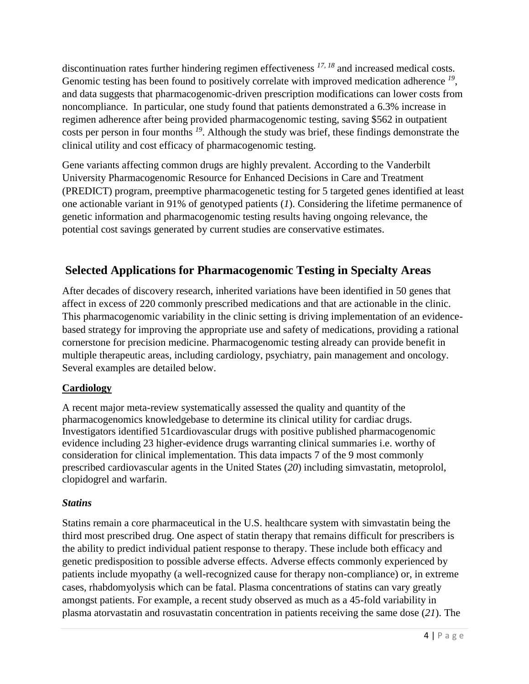discontinuation rates further hindering regimen effectiveness *[17,](#page-7-16) [18](#page-7-17)* and increased medical costs. Genomic testing has been found to positively correlate with improved medication adherence <sup>[19](#page-8-0)</sup>, and data suggests that pharmacogenomic-driven prescription modifications can lower costs from noncompliance. In particular, one study found that patients demonstrated a 6.3% increase in regimen adherence after being provided pharmacogenomic testing, saving \$562 in outpatient costs per person in four months *[19](#page-8-0)* . Although the study was brief, these findings demonstrate the clinical utility and cost efficacy of pharmacogenomic testing.

Gene variants affecting common drugs are highly prevalent. According to the Vanderbilt University Pharmacogenomic Resource for Enhanced Decisions in Care and Treatment (PREDICT) program, preemptive pharmacogenetic testing for 5 targeted genes identified at least one actionable variant in 91% of genotyped patients (*[1](#page-7-0)*). Considering the lifetime permanence of genetic information and pharmacogenomic testing results having ongoing relevance, the potential cost savings generated by current studies are conservative estimates.

# **Selected Applications for Pharmacogenomic Testing in Specialty Areas**

After decades of discovery research, inherited variations have been identified in 50 genes that affect in excess of 220 commonly prescribed medications and that are actionable in the clinic. This pharmacogenomic variability in the clinic setting is driving implementation of an evidencebased strategy for improving the appropriate use and safety of medications, providing a rational cornerstone for precision medicine. Pharmacogenomic testing already can provide benefit in multiple therapeutic areas, including cardiology, psychiatry, pain management and oncology. Several examples are detailed below.

#### **Cardiology**

A recent major meta-review systematically assessed the quality and quantity of the pharmacogenomics knowledgebase to determine its clinical utility for cardiac drugs. Investigators identified 51cardiovascular drugs with positive published pharmacogenomic evidence including 23 higher-evidence drugs warranting clinical summaries i.e. worthy of consideration for clinical implementation. This data impacts 7 of the 9 most commonly prescribed cardiovascular agents in the United States (*[20](#page-8-1)*) including simvastatin, metoprolol, clopidogrel and warfarin.

#### *Statins*

Statins remain a core pharmaceutical in the U.S. healthcare system with simvastatin being the third most prescribed drug. One aspect of statin therapy that remains difficult for prescribers is the ability to predict individual patient response to therapy. These include both efficacy and genetic predisposition to possible adverse effects. Adverse effects commonly experienced by patients include myopathy (a well-recognized cause for therapy non-compliance) or, in extreme cases, rhabdomyolysis which can be fatal. Plasma concentrations of statins can vary greatly amongst patients. For example, a recent study observed as much as a 45-fold variability in plasma atorvastatin and rosuvastatin concentration in patients receiving the same dose (*[21](#page-8-2)*). The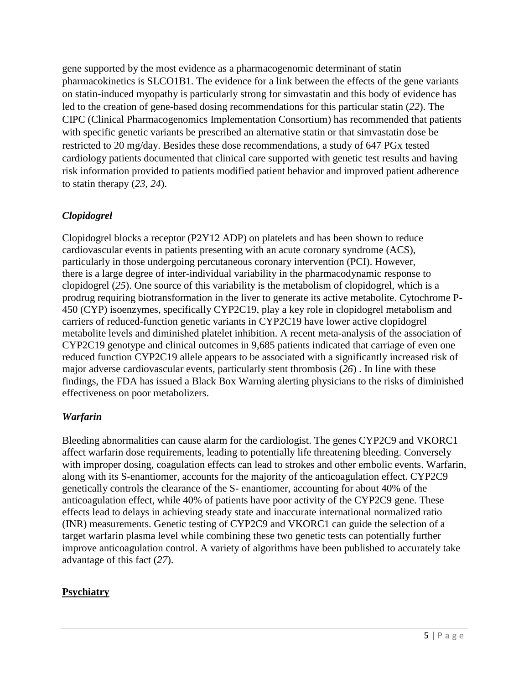gene supported by the most evidence as a pharmacogenomic determinant of statin pharmacokinetics is SLCO1B1. The evidence for a link between the effects of the gene variants on statin-induced myopathy is particularly strong for simvastatin and this body of evidence has led to the creation of gene-based dosing recommendations for this particular statin (*[22](#page-8-3)*). The CIPC (Clinical Pharmacogenomics Implementation Consortium) has recommended that patients with specific genetic variants be prescribed an alternative statin or that simvastatin dose be restricted to 20 mg/day. Besides these dose recommendations, a study of 647 PGx tested cardiology patients documented that clinical care supported with genetic test results and having risk information provided to patients modified patient behavior and improved patient adherence to statin therapy (*[23,](#page-8-4) [24](#page-8-5)*).

### *Clopidogrel*

Clopidogrel blocks a receptor (P2Y12 ADP) on platelets and has been shown to reduce cardiovascular events in patients presenting with an acute coronary syndrome (ACS), particularly in those undergoing percutaneous coronary intervention (PCI). However, there is a large degree of inter-individual variability in the pharmacodynamic response to clopidogrel (*[25](#page-8-6)*). One source of this variability is the metabolism of clopidogrel, which is a prodrug requiring biotransformation in the liver to generate its active metabolite. Cytochrome P-450 (CYP) isoenzymes, specifically CYP2C19, play a key role in clopidogrel metabolism and carriers of reduced-function genetic variants in CYP2C19 have lower active clopidogrel metabolite levels and diminished platelet inhibition. A recent meta-analysis of the association of CYP2C19 genotype and clinical outcomes in 9,685 patients indicated that carriage of even one reduced function CYP2C19 allele appears to be associated with a significantly increased risk of major adverse cardiovascular events, particularly stent thrombosis (*[26](#page-8-7)*) . In line with these findings, the FDA has issued a Black Box Warning alerting physicians to the risks of diminished effectiveness on poor metabolizers.

#### *Warfarin*

Bleeding abnormalities can cause alarm for the cardiologist. The genes CYP2C9 and VKORC1 affect warfarin dose requirements, leading to potentially life threatening bleeding. Conversely with improper dosing, coagulation effects can lead to strokes and other embolic events. Warfarin, along with its S-enantiomer, accounts for the majority of the anticoagulation effect. CYP2C9 genetically controls the clearance of the S- enantiomer, accounting for about 40% of the anticoagulation effect, while 40% of patients have poor activity of the CYP2C9 gene. These effects lead to delays in achieving steady state and inaccurate international normalized ratio (INR) measurements. Genetic testing of CYP2C9 and VKORC1 can guide the selection of a target warfarin plasma level while combining these two genetic tests can potentially further improve anticoagulation control. A variety of algorithms have been published to accurately take advantage of this fact (*[27](#page-8-8)*).

#### **Psychiatry**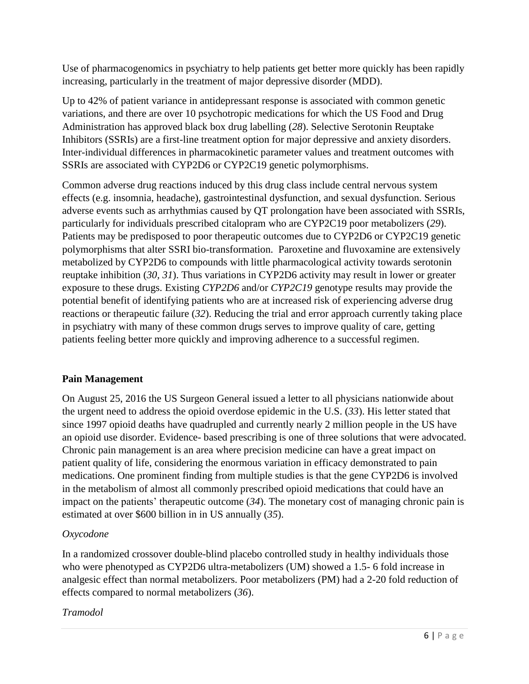Use of pharmacogenomics in psychiatry to help patients get better more quickly has been rapidly increasing, particularly in the treatment of major depressive disorder (MDD).

Up to 42% of patient variance in antidepressant response is associated with common genetic variations, and there are over 10 psychotropic medications for which the US Food and Drug Administration has approved black box drug labelling (*[28](#page-8-9)*). Selective Serotonin Reuptake Inhibitors (SSRIs) are a first-line treatment option for major depressive and anxiety disorders. Inter-individual differences in pharmacokinetic parameter values and treatment outcomes with SSRIs are associated with CYP2D6 or CYP2C19 genetic polymorphisms.

Common adverse drug reactions induced by this drug class include central nervous system effects (e.g. insomnia, headache), gastrointestinal dysfunction, and sexual dysfunction. Serious adverse events such as arrhythmias caused by QT prolongation have been associated with SSRIs, particularly for individuals prescribed citalopram who are CYP2C19 poor metabolizers (*[29](#page-8-10)*). Patients may be predisposed to poor therapeutic outcomes due to CYP2D6 or CYP2C19 genetic polymorphisms that alter SSRI bio-transformation. Paroxetine and fluvoxamine are extensively metabolized by CYP2D6 to compounds with little pharmacological activity towards serotonin reuptake inhibition (*[30,](#page-8-11) [31](#page-8-12)*). Thus variations in CYP2D6 activity may result in lower or greater exposure to these drugs. Existing *CYP2D6* and/or *CYP2C19* genotype results may provide the potential benefit of identifying patients who are at increased risk of experiencing adverse drug reactions or therapeutic failure (*[32](#page-8-13)*). Reducing the trial and error approach currently taking place in psychiatry with many of these common drugs serves to improve quality of care, getting patients feeling better more quickly and improving adherence to a successful regimen.

#### **Pain Management**

On August 25, 2016 the US Surgeon General issued a letter to all physicians nationwide about the urgent need to address the opioid overdose epidemic in the U.S. (*[33](#page-8-14)*). His letter stated that since 1997 opioid deaths have quadrupled and currently nearly 2 million people in the US have an opioid use disorder. Evidence- based prescribing is one of three solutions that were advocated. Chronic pain management is an area where precision medicine can have a great impact on patient quality of life, considering the enormous variation in efficacy demonstrated to pain medications. One prominent finding from multiple studies is that the gene CYP2D6 is involved in the metabolism of almost all commonly prescribed opioid medications that could have an impact on the patients' therapeutic outcome (*[34](#page-8-15)*). The monetary cost of managing chronic pain is estimated at over \$600 billion in in US annually (*[35](#page-8-16)*).

#### *Oxycodone*

In a randomized crossover double-blind placebo controlled study in healthy individuals those who were phenotyped as CYP2D6 ultra-metabolizers (UM) showed a 1.5- 6 fold increase in analgesic effect than normal metabolizers. Poor metabolizers (PM) had a 2-20 fold reduction of effects compared to normal metabolizers (*[36](#page-8-17)*).

#### *Tramodol*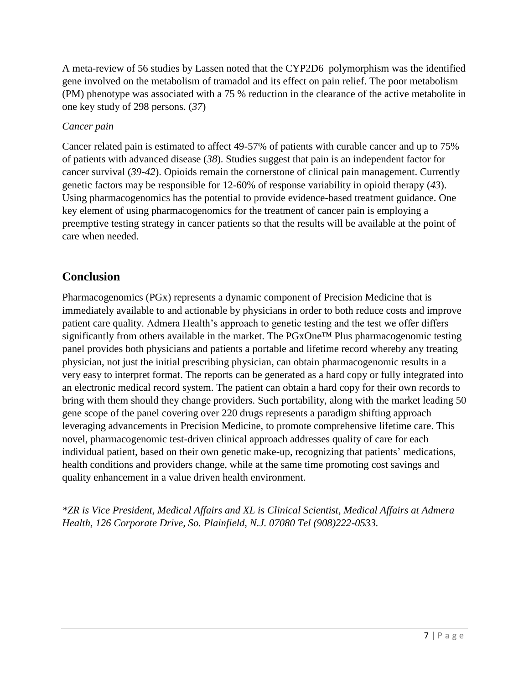A meta-review of 56 studies by Lassen noted that the CYP2D6 polymorphism was the identified gene involved on the metabolism of tramadol and its effect on pain relief. The poor metabolism (PM) phenotype was associated with a 75 % reduction in the clearance of the active metabolite in one key study of 298 persons. (*[37](#page-8-18)*)

#### *Cancer pain*

Cancer related pain is estimated to affect 49-57% of patients with curable cancer and up to 75% of patients with advanced disease (*[38](#page-8-19)*). Studies suggest that pain is an independent factor for cancer survival (*[39-42](#page-8-20)*). Opioids remain the cornerstone of clinical pain management. Currently genetic factors may be responsible for 12-60% of response variability in opioid therapy (*[43](#page-9-0)*). Using pharmacogenomics has the potential to provide evidence-based treatment guidance. One key element of using pharmacogenomics for the treatment of cancer pain is employing a preemptive testing strategy in cancer patients so that the results will be available at the point of care when needed.

## **Conclusion**

Pharmacogenomics (PGx) represents a dynamic component of Precision Medicine that is immediately available to and actionable by physicians in order to both reduce costs and improve patient care quality. Admera Health's approach to genetic testing and the test we offer differs significantly from others available in the market. The PGxOne™ Plus pharmacogenomic testing panel provides both physicians and patients a portable and lifetime record whereby any treating physician, not just the initial prescribing physician, can obtain pharmacogenomic results in a very easy to interpret format. The reports can be generated as a hard copy or fully integrated into an electronic medical record system. The patient can obtain a hard copy for their own records to bring with them should they change providers. Such portability, along with the market leading 50 gene scope of the panel covering over 220 drugs represents a paradigm shifting approach leveraging advancements in Precision Medicine, to promote comprehensive lifetime care. This novel, pharmacogenomic test-driven clinical approach addresses quality of care for each individual patient, based on their own genetic make-up, recognizing that patients' medications, health conditions and providers change, while at the same time promoting cost savings and quality enhancement in a value driven health environment.

*\*ZR is Vice President, Medical Affairs and XL is Clinical Scientist, Medical Affairs at Admera Health, 126 Corporate Drive, So. Plainfield, N.J. 07080 Tel (908)222-0533.*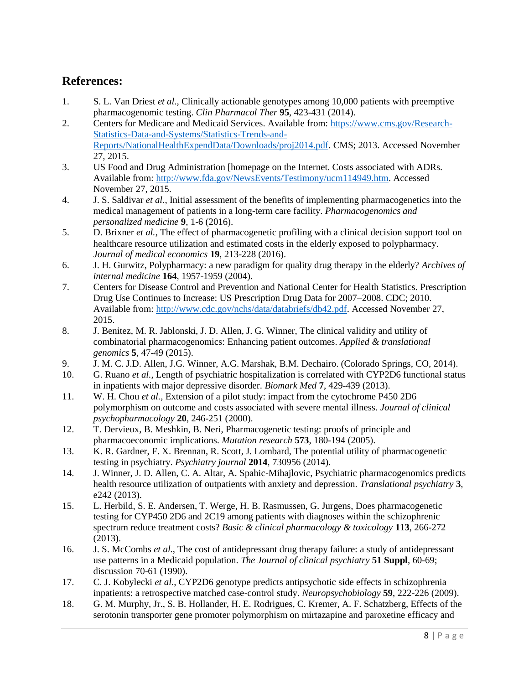## **References:**

- <span id="page-7-0"></span>1. S. L. Van Driest *et al.*, Clinically actionable genotypes among 10,000 patients with preemptive pharmacogenomic testing. *Clin Pharmacol Ther* **95**, 423-431 (2014).
- <span id="page-7-1"></span>2. Centers for Medicare and Medicaid Services. Available from: [https://www.cms.gov/Research-](https://www.cms.gov/Research-Statistics-Data-and-Systems/Statistics-Trends-and-Reports/NationalHealthExpendData/Downloads/proj2014.pdf)[Statistics-Data-and-Systems/Statistics-Trends-and-](https://www.cms.gov/Research-Statistics-Data-and-Systems/Statistics-Trends-and-Reports/NationalHealthExpendData/Downloads/proj2014.pdf)[Reports/NationalHealthExpendData/Downloads/proj2014.pdf.](https://www.cms.gov/Research-Statistics-Data-and-Systems/Statistics-Trends-and-Reports/NationalHealthExpendData/Downloads/proj2014.pdf) CMS; 2013. Accessed November 27, 2015.
- <span id="page-7-2"></span>3. US Food and Drug Administration [homepage on the Internet. Costs associated with ADRs. Available from: [http://www.fda.gov/NewsEvents/Testimony/ucm114949.htm.](http://www.fda.gov/NewsEvents/Testimony/ucm114949.htm) Accessed November 27, 2015.
- <span id="page-7-3"></span>4. J. S. Saldivar *et al.*, Initial assessment of the benefits of implementing pharmacogenetics into the medical management of patients in a long-term care facility. *Pharmacogenomics and personalized medicine* **9**, 1-6 (2016).
- <span id="page-7-4"></span>5. D. Brixner *et al.*, The effect of pharmacogenetic profiling with a clinical decision support tool on healthcare resource utilization and estimated costs in the elderly exposed to polypharmacy. *Journal of medical economics* **19**, 213-228 (2016).
- <span id="page-7-5"></span>6. J. H. Gurwitz, Polypharmacy: a new paradigm for quality drug therapy in the elderly? *Archives of internal medicine* **164**, 1957-1959 (2004).
- <span id="page-7-6"></span>7. Centers for Disease Control and Prevention and National Center for Health Statistics. Prescription Drug Use Continues to Increase: US Prescription Drug Data for 2007–2008. CDC; 2010. Available from: [http://www.cdc.gov/nchs/data/databriefs/db42.pdf.](http://www.cdc.gov/nchs/data/databriefs/db42.pdf) Accessed November 27, 2015.
- <span id="page-7-7"></span>8. J. Benitez, M. R. Jablonski, J. D. Allen, J. G. Winner, The clinical validity and utility of combinatorial pharmacogenomics: Enhancing patient outcomes. *Applied & translational genomics* **5**, 47-49 (2015).
- <span id="page-7-8"></span>9. J. M. C. J.D. Allen, J.G. Winner, A.G. Marshak, B.M. Dechairo. (Colorado Springs, CO, 2014).
- <span id="page-7-9"></span>10. G. Ruano *et al.*, Length of psychiatric hospitalization is correlated with CYP2D6 functional status in inpatients with major depressive disorder. *Biomark Med* **7**, 429-439 (2013).
- <span id="page-7-10"></span>11. W. H. Chou *et al.*, Extension of a pilot study: impact from the cytochrome P450 2D6 polymorphism on outcome and costs associated with severe mental illness. *Journal of clinical psychopharmacology* **20**, 246-251 (2000).
- <span id="page-7-11"></span>12. T. Dervieux, B. Meshkin, B. Neri, Pharmacogenetic testing: proofs of principle and pharmacoeconomic implications. *Mutation research* **573**, 180-194 (2005).
- <span id="page-7-12"></span>13. K. R. Gardner, F. X. Brennan, R. Scott, J. Lombard, The potential utility of pharmacogenetic testing in psychiatry. *Psychiatry journal* **2014**, 730956 (2014).
- <span id="page-7-13"></span>14. J. Winner, J. D. Allen, C. A. Altar, A. Spahic-Mihajlovic, Psychiatric pharmacogenomics predicts health resource utilization of outpatients with anxiety and depression. *Translational psychiatry* **3**, e242 (2013).
- <span id="page-7-14"></span>15. L. Herbild, S. E. Andersen, T. Werge, H. B. Rasmussen, G. Jurgens, Does pharmacogenetic testing for CYP450 2D6 and 2C19 among patients with diagnoses within the schizophrenic spectrum reduce treatment costs? *Basic & clinical pharmacology & toxicology* **113**, 266-272 (2013).
- <span id="page-7-15"></span>16. J. S. McCombs *et al.*, The cost of antidepressant drug therapy failure: a study of antidepressant use patterns in a Medicaid population. *The Journal of clinical psychiatry* **51 Suppl**, 60-69; discussion 70-61 (1990).
- <span id="page-7-16"></span>17. C. J. Kobylecki *et al.*, CYP2D6 genotype predicts antipsychotic side effects in schizophrenia inpatients: a retrospective matched case-control study. *Neuropsychobiology* **59**, 222-226 (2009).
- <span id="page-7-17"></span>18. G. M. Murphy, Jr., S. B. Hollander, H. E. Rodrigues, C. Kremer, A. F. Schatzberg, Effects of the serotonin transporter gene promoter polymorphism on mirtazapine and paroxetine efficacy and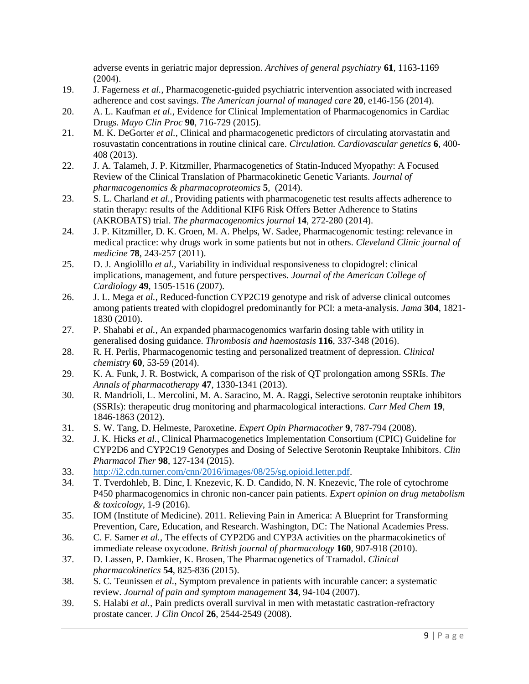adverse events in geriatric major depression. *Archives of general psychiatry* **61**, 1163-1169 (2004).

- <span id="page-8-0"></span>19. J. Fagerness *et al.*, Pharmacogenetic-guided psychiatric intervention associated with increased adherence and cost savings. *The American journal of managed care* **20**, e146-156 (2014).
- <span id="page-8-1"></span>20. A. L. Kaufman *et al.*, Evidence for Clinical Implementation of Pharmacogenomics in Cardiac Drugs. *Mayo Clin Proc* **90**, 716-729 (2015).
- <span id="page-8-2"></span>21. M. K. DeGorter *et al.*, Clinical and pharmacogenetic predictors of circulating atorvastatin and rosuvastatin concentrations in routine clinical care. *Circulation. Cardiovascular genetics* **6**, 400- 408 (2013).
- <span id="page-8-3"></span>22. J. A. Talameh, J. P. Kitzmiller, Pharmacogenetics of Statin-Induced Myopathy: A Focused Review of the Clinical Translation of Pharmacokinetic Genetic Variants. *Journal of pharmacogenomics & pharmacoproteomics* **5**, (2014).
- <span id="page-8-4"></span>23. S. L. Charland *et al.*, Providing patients with pharmacogenetic test results affects adherence to statin therapy: results of the Additional KIF6 Risk Offers Better Adherence to Statins (AKROBATS) trial. *The pharmacogenomics journal* **14**, 272-280 (2014).
- <span id="page-8-5"></span>24. J. P. Kitzmiller, D. K. Groen, M. A. Phelps, W. Sadee, Pharmacogenomic testing: relevance in medical practice: why drugs work in some patients but not in others. *Cleveland Clinic journal of medicine* **78**, 243-257 (2011).
- <span id="page-8-6"></span>25. D. J. Angiolillo *et al.*, Variability in individual responsiveness to clopidogrel: clinical implications, management, and future perspectives. *Journal of the American College of Cardiology* **49**, 1505-1516 (2007).
- <span id="page-8-7"></span>26. J. L. Mega *et al.*, Reduced-function CYP2C19 genotype and risk of adverse clinical outcomes among patients treated with clopidogrel predominantly for PCI: a meta-analysis. *Jama* **304**, 1821- 1830 (2010).
- <span id="page-8-8"></span>27. P. Shahabi *et al.*, An expanded pharmacogenomics warfarin dosing table with utility in generalised dosing guidance. *Thrombosis and haemostasis* **116**, 337-348 (2016).
- <span id="page-8-9"></span>28. R. H. Perlis, Pharmacogenomic testing and personalized treatment of depression. *Clinical chemistry* **60**, 53-59 (2014).
- <span id="page-8-10"></span>29. K. A. Funk, J. R. Bostwick, A comparison of the risk of QT prolongation among SSRIs. *The Annals of pharmacotherapy* **47**, 1330-1341 (2013).
- <span id="page-8-11"></span>30. R. Mandrioli, L. Mercolini, M. A. Saracino, M. A. Raggi, Selective serotonin reuptake inhibitors (SSRIs): therapeutic drug monitoring and pharmacological interactions. *Curr Med Chem* **19**, 1846-1863 (2012).
- <span id="page-8-12"></span>31. S. W. Tang, D. Helmeste, Paroxetine. *Expert Opin Pharmacother* **9**, 787-794 (2008).
- <span id="page-8-13"></span>32. J. K. Hicks *et al.*, Clinical Pharmacogenetics Implementation Consortium (CPIC) Guideline for CYP2D6 and CYP2C19 Genotypes and Dosing of Selective Serotonin Reuptake Inhibitors. *Clin Pharmacol Ther* **98**, 127-134 (2015).
- <span id="page-8-14"></span>33. [http://i2.cdn.turner.com/cnn/2016/images/08/25/sg.opioid.letter.pdf.](http://i2.cdn.turner.com/cnn/2016/images/08/25/sg.opioid.letter.pdf)
- <span id="page-8-15"></span>34. T. Tverdohleb, B. Dinc, I. Knezevic, K. D. Candido, N. N. Knezevic, The role of cytochrome P450 pharmacogenomics in chronic non-cancer pain patients. *Expert opinion on drug metabolism & toxicology*, 1-9 (2016).
- <span id="page-8-16"></span>35. IOM (Institute of Medicine). 2011. Relieving Pain in America: A Blueprint for Transforming Prevention, Care, Education, and Research. Washington, DC: The National Academies Press.
- <span id="page-8-17"></span>36. C. F. Samer *et al.*, The effects of CYP2D6 and CYP3A activities on the pharmacokinetics of immediate release oxycodone. *British journal of pharmacology* **160**, 907-918 (2010).
- <span id="page-8-18"></span>37. D. Lassen, P. Damkier, K. Brosen, The Pharmacogenetics of Tramadol. *Clinical pharmacokinetics* **54**, 825-836 (2015).
- <span id="page-8-19"></span>38. S. C. Teunissen *et al.*, Symptom prevalence in patients with incurable cancer: a systematic review. *Journal of pain and symptom management* **34**, 94-104 (2007).
- <span id="page-8-20"></span>39. S. Halabi *et al.*, Pain predicts overall survival in men with metastatic castration-refractory prostate cancer. *J Clin Oncol* **26**, 2544-2549 (2008).